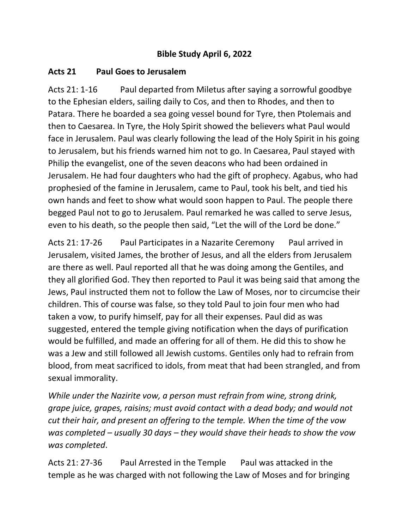## **Bible Study April 6, 2022**

## **Acts 21 Paul Goes to Jerusalem**

Acts 21: 1-16 Paul departed from Miletus after saying a sorrowful goodbye to the Ephesian elders, sailing daily to Cos, and then to Rhodes, and then to Patara. There he boarded a sea going vessel bound for Tyre, then Ptolemais and then to Caesarea. In Tyre, the Holy Spirit showed the believers what Paul would face in Jerusalem. Paul was clearly following the lead of the Holy Spirit in his going to Jerusalem, but his friends warned him not to go. In Caesarea, Paul stayed with Philip the evangelist, one of the seven deacons who had been ordained in Jerusalem. He had four daughters who had the gift of prophecy. Agabus, who had prophesied of the famine in Jerusalem, came to Paul, took his belt, and tied his own hands and feet to show what would soon happen to Paul. The people there begged Paul not to go to Jerusalem. Paul remarked he was called to serve Jesus, even to his death, so the people then said, "Let the will of the Lord be done."

Acts 21: 17-26 Paul Participates in a Nazarite Ceremony Paul arrived in Jerusalem, visited James, the brother of Jesus, and all the elders from Jerusalem are there as well. Paul reported all that he was doing among the Gentiles, and they all glorified God. They then reported to Paul it was being said that among the Jews, Paul instructed them not to follow the Law of Moses, nor to circumcise their children. This of course was false, so they told Paul to join four men who had taken a vow, to purify himself, pay for all their expenses. Paul did as was suggested, entered the temple giving notification when the days of purification would be fulfilled, and made an offering for all of them. He did this to show he was a Jew and still followed all Jewish customs. Gentiles only had to refrain from blood, from meat sacrificed to idols, from meat that had been strangled, and from sexual immorality.

*While under the Nazirite vow, a person must refrain from wine, strong drink, grape juice, grapes, raisins; must avoid contact with a dead body; and would not cut their hair, and present an offering to the temple. When the time of the vow was completed – usually 30 days – they would shave their heads to show the vow was completed*.

Acts 21: 27-36 Paul Arrested in the Temple Paul was attacked in the temple as he was charged with not following the Law of Moses and for bringing